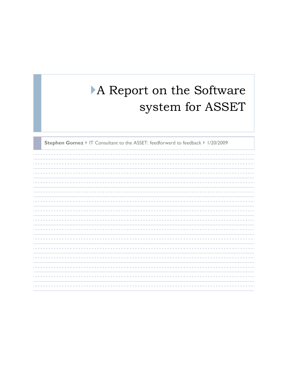# A Report on the Software system for ASSET

**Stephen Gomez** IT Consultant to the ASSET: feedforward to feedback II/20/2009

----------------------------------------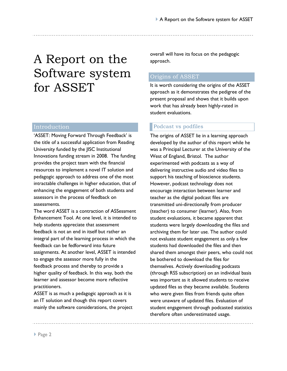# A Report on the Software system for ASSET

## Introduction

'ASSET: Moving Forward Through Feedback' is the title of a successful application from Reading University funded by the JISC Institutional Innovations funding stream in 2008. The funding provides the project team with the financial resources to implement a novel IT solution and pedagogic approach to address one of the most intractable challenges in higher education, that of enhancing the engagement of both students and assessors in the process of feedback on assessments.

The word ASSET is a contraction of ASSessment Enhancement Tool. At one level, it is intended to help students appreciate that assessment feedback is not an end in itself but rather an integral part of the learning process in which the feedback can be fedforward into future assignments. At another level, ASSET is intended to engage the assessor more fully in the feedback process and thereby to provide a higher quality of feedback. In this way, both the learner and assessor become more reflective practitioners.

ASSET is as much a pedagogic approach as it is an IT solution and though this report covers mainly the software considerations, the project overall will have its focus on the pedagogic approach.

#### Origins of ASSET

It is worth considering the origins of the ASSET approach as it demonstrates the pedigree of the present proposal and shows that it builds upon work that has already been highly-rated in student evaluations.

#### Podcast vs podfiles

The origins of ASSET lie in a learning approach developed by the author of this report while he was a Principal Lecturer at the University of the West of England, Bristol. The author experimented with podcasts as a way of delivering instructive audio and video files to support his teaching of bioscience students. However, podcast technology does not encourage interaction between learner and teacher as the digital podcast files are transmitted uni-directionally from producer (teacher) to consumer (learner). Also, from student evaluations, it became apparent that students were largely downloading the files and archiving them for later use. The author could not evaluate student engagement as only a few students had downloaded the files and then shared them amongst their peers, who could not be bothered to download the files for themselves. Actively downloading podcasts (through RSS subscription) on an individual basis was important as it allowed students to receive updated files as they became available. Students who were given files from friends quite often were unaware of updated files. Evaluation of student engagement through podcasted statistics therefore often underestimated usage.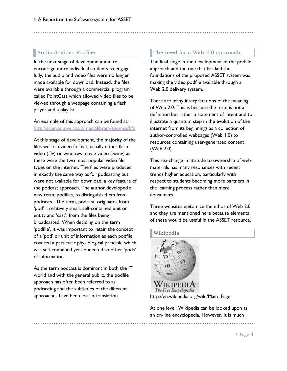#### Audio & Video Podfiles

In the next stage of development and to encourage more individual students to engage fully, the audio and video files were no longer made available for download. Instead, the files were available through a commercial program called PointCast which allowed video files to be viewed through a webpage containing a flash player and a playlist.

#### An example of this approach can be found at: [http://science.uwe.ac.uk/medialibrary/sgomez/bfd.](http://science.uwe.ac.uk/medialibrary/sgomez/bfd)

At this stage of development, the majority of the files were in video format, usually either flash video (.flv) or windows movie video (.wmv) as these were the two most popular video file types on the internet. The files were produced in exactly the same way as for podcasting but were not available for download, a key feature of the podcast approach. The author developed a new term, podfiles, to distinguish them from podcasts. The term, podcast, originates from 'pod' a relatively small, self-contained unit or entity and 'cast', from the files being broadcasted. When deciding on the term 'podfile', it was important to retain the concept of a "pod" or unit of information as each podfile covered a particular physiological principle which was self-contained yet connected to other "pods" of information.

As the term podcast is dominant in both the IT world and with the general public, the podfile approach has often been referred to as podcasting and the subtleties of the different approaches have been lost in translation.

#### The need for a Web 2.0 approach

The final stage in the development of the podfile approach and the one that has laid the foundations of the proposed ASSET system was making the video podfile available through a Web 2.0 delivery system.

There are many interpretations of the meaning of Web 2.0. This is because the term is not a definition but rather a statement of intent and to illustrate a quantum step in the evolution of the internet from its beginnings as a collection of author-controlled webpages (Web 1.0) to resources containing user-generated content (Web 2.0).

This sea-change in attitude to ownership of webmaterials has many resonances with recent trends higher education, particularly with respect to students becoming more partners in the learning process rather than mere consumers.

Three websites epitomize the ethos of Web 2.0 and they are mentioned here because elements of these would be useful in the ASSET resource.

# Wikipedia **IKIPEDI** The Free Encyclopedia

http://en.wikipedia.org/wiki/Main\_Page

At one level, Wikipedia can be looked upon as an on-line encyclopedia. However, it is much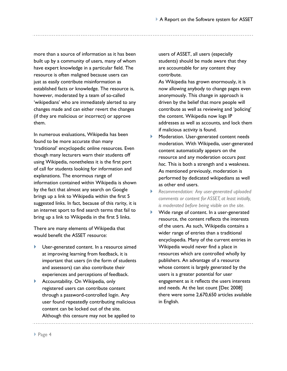more than a source of information as it has been built up by a community of users, many of whom have expert knowledge in a particular field. The resource is often maligned because users can just as easily contribute misinformation as established facts or knowledge. The resource is, however, moderated by a team of so-called 'wikipedians' who are immediately alerted to any changes made and can either revert the changes (if they are malicious or incorrect) or approve them.

In numerous evaluations, Wikipedia has been found to be more accurate than many "traditional" encyclopedic online resources. Even though many lecturers warn their students off using Wikipedia, nonetheless it is the first port of call for students looking for information and explanations. The enormous range of information contained within Wikipedia is shown by the fact that almost any search on Google brings up a link to Wikipedia within the first 5 suggested links. In fact, because of this rarity, it is an internet sport to find search terms that fail to bring up a link to Wikipedia in the first 5 links.

There are many elements of Wikipedia that would benefit the ASSET resource:

- User-generated content. In a resource aimed at improving learning from feedback, it is important that users (in the form of students and assessors) can also contribute their experiences and perceptions of feedback.
- Accountability. On Wikipedia, only registered users can contribute content through a password-controlled login. Any user found repeatedly contributing malicious content can be locked out of the site. Although this censure may not be applied to

users of ASSET, all users (especially students) should be made aware that they are accountable for any content they contribute.

As Wikipedia has grown enormously, it is now allowing anybody to change pages even anonymously. This change in approach is driven by the belief that more people will contribute as well as reviewing and "policing" the content. Wikipedia now logs IP addresses as well as accounts, and lock them if malicious activity is found.

- **Moderation. User-generated content needs** moderation. With Wikipedia, user-generated content automatically appears on the resource and any moderation occurs *post hoc*. This is both a strength and a weakness. As mentioned previously, moderation is performed by dedicated wikipedians as well as other end users.
- *Recommendation: Any user-generated uploaded comments or content for ASSET, at least initially, is moderated before being visible on the site.*
- Wide range of content. In a user-generated resource, the content reflects the interests of the users. As such, Wikipedia contains a wider range of entries than a traditional encyclopedia. Many of the current entries in Wikipedia would never find a place in resources which are controlled wholly by publishers. An advantage of a resource whose content is largely generated by the users is a greater potential for user engagement as it reflects the users interests and needs. At the last count [Dec 2008] there were some 2,670,650 articles available in English.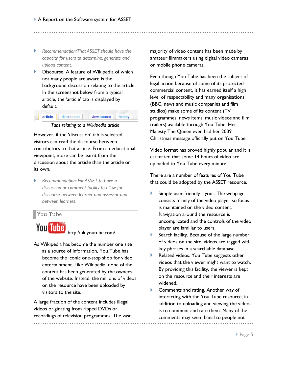- *Recommendation: That ASSET should have the capacity for users to determine, generate and upload content.*
- **Discourse. A feature of Wikipedia of which** not many people are aware is the background discussion relating to the article. In the screenshot below from a typical article, the "article" tab is displayed by default.

| <b>Article</b> | liscussion | view source     ' |  |
|----------------|------------|-------------------|--|
|                |            | .                 |  |

*Tabs relating to a Wikipedia article*

However, if the 'discussion' tab is selected, visitors can read the discourse between contributors to that article. From an educational viewpoint, more can be learnt from the discussion about the article than the article on its own.

 *Recommendation: For ASSET to have a discussion or comment facility to allow for discourse between learner and assessor and between learners.*

#### You Tube

You Tube

http://uk.youtube.com/

As Wikipedia has become the number one site as a source of information, You Tube has become the iconic one-stop shop for video entertainment. Like Wikipedia, none of the content has been generated by the owners of the website. Instead, the millions of videos on the resource have been uploaded by visitors to the site.

A large fraction of the content includes illegal videos originating from ripped DVDs or recordings of television programmes. The vast majority of video content has been made by amateur filmmakers using digital video cameras or mobile phone cameras.

Even though You Tube has been the subject of legal action because of some of its protected commercial content, it has earned itself a high level of respectability and many organisations (BBC, news and music companies and film studios) make some of its content (TV programmes, news items, music videos and film trailers) available through You Tube. Her Majesty The Queen even had her 2009 Christmas message officially put on You Tube.

Video format has proved highly popular and it is estimated that some 14 hours of video are uploaded to You Tube every minute!

There are a number of features of You Tube that could be adopted by the ASSET resource.

- Simple user-friendly layout. The webpage consists mainly of the video player so focus is maintained on the video content. Navigation around the resource is uncomplicated and the controls of the video player are familiar to users.
- Search facility. Because of the large number of videos on the site, videos are tagged with key phrases in a searchable database.
- Related videos. You Tube suggests other videos that the viewer might want to watch. By providing this facility, the viewer is kept on the resource and their interests are widened.
- **Comments and rating. Another way of** interacting with the You Tube resource, in addition to uploading and viewing the videos is to comment and rate them. Many of the comments may seem banal to people not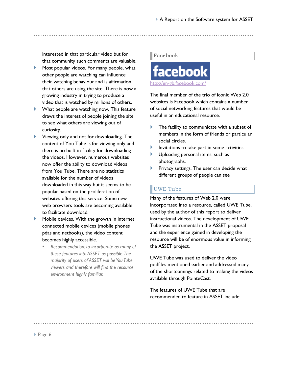interested in that particular video but for that community such comments are valuable.

- **Most popular videos. For many people, what** other people are watching can influence their watching behaviour and is affirmation that others are using the site. There is now a growing industry in trying to produce a video that is watched by millions of others.
- What people are watching now. This feature draws the interest of people joining the site to see what others are viewing out of curiosity.
- Viewing only and not for downloading. The content of You Tube is for viewing only and there is no built-in facility for downloading the videos. However, numerous websites now offer the ability to download videos from You Tube. There are no statistics available for the number of videos downloaded in this way but it seems to be popular based on the proliferation of websites offering this service. Some new web browsers tools are becoming available to facilitate download.
- Mobile devices. With the growth in internet connected mobile devices (mobile phones pdas and netbooks), the video content becomes highly accessible.
	- *Recommendation: to incorporate as many of these features into ASSET as possible. The majority of users of ASSET will be You Tube viewers and therefore will find the resource environment highly familiar.*

#### Facebook



The final member of the trio of iconic Web 2.0 websites is Facebook which contains a number of social networking features that would be useful in an educational resource.

- The facility to communicate with a subset of members in the form of friends or particular social circles.
- Invitations to take part in some activities.
- **IDUP Uploading personal items, such as** photographs.
- Privacy settings. The user can decide what different groups of people can see

## UWE Tube

Many of the features of Web 2.0 were incorporated into a resource, called UWE Tube, used by the author of this report to deliver instructional videos. The development of UWE Tube was instrumental in the ASSET proposal and the experience gained in developing the resource will be of enormous value in informing the ASSET project.

UWE Tube was used to deliver the video podfiles mentioned earlier and addressed many of the shortcomings related to making the videos available through PointeCast.

The features of UWE Tube that are recommended to feature in ASSET include: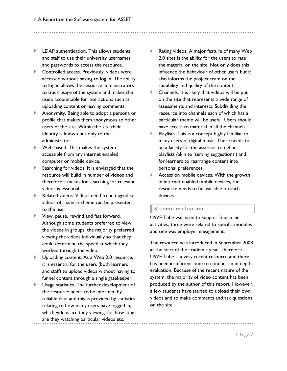- **LDAP** authentication. This allows students and staff to use their university usernames and passwords to access the resource.
- ▶ Controlled access. Previously, videos were accessed without having to log in. The ability to log in allows the resource administrators to track usage of the system and makes the users accountable for interactions such as uploading content or leaving comments.
- Anonymity. Being able to adopt a persona or profile that makes them anonymous to other users of the site. Within the site their identity is known but only to the administrator.
- Web-based. This makes the system accessible from any internet enabled computer or mobile device.
- Searching for videos. It is envisaged that the resource will build in number of videos and therefore a means for searching for relevant videos is essential.
- Related videos. Videos need to be tagged so videos of a similar theme can be presented to the user.
- View, pause, rewind and fast forward. Although some students preferred to view the videos in groups, the majority preferred viewing the videos individually so that they could determine the speed at which they worked through the video.
- Uploading content. As a Web 2.0 resource, it is essential for the users (both learners and staff) to upload videos without having to funnel content through a single gatekeeper.
- Usage statistics. The further development of the resource needs to be informed by reliable data and this is provided by statistics relating to how many users have logged in, which videos are they viewing, for how long are they watching particular videos etc.
- ▶ Rating videos. A major feature of many Web 2.0 sites is the ability for the users to rate the material on the site. Not only does this influence the behaviour of other users but it also informs the project team on the suitability and quality of the content.
- Channels. It is likely that videos will be put on the site that represents a wide range of assessments and interests. Subdividing the resource into channels each of which has a particular theme will be useful. Users should have access to material in all the channels.
- Playlists. This is a concept highly familiar to many users of digital music. There needs to be a facility for the assessor to define playlists (akin to "serving suggestions") and for learners to rearrange content into personal preferences.
- Access on mobile devices. With the growth in internet enabled mobile devices, the resource needs to be available on such devices.

#### Student evaluation

UWE Tube was used to support four main activities; three were related to specific modules and one was employer engagement.

The resource was introduced in September 2008 at the start of the academic year. Therefore UWE Tube is a very recent resource and there has been insufficient time to conduct an in depth evaluation. Because of the recent nature of the system, the majority of video content has been produced by the author of this report. However, a few students have started to upload their own videos and to make comments and ask questions on the site.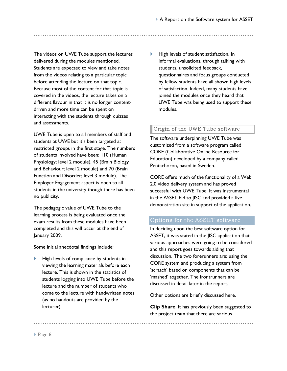The videos on UWE Tube support the lectures delivered during the modules mentioned. Students are expected to view and take notes from the videos relating to a particular topic before attending the lecture on that topic. Because most of the content for that topic is covered in the videos, the lecture takes on a different flavour in that it is no longer contentdriven and more time can be spent on interacting with the students through quizzes and assessments.

UWE Tube is open to all members of staff and students at UWE but it's been targeted at restricted groups in the first stage. The numbers of students involved have been: 110 (Human Physiology; level 2 module), 45 (Brain Biology and Behaviour; level 2 module) and 70 (Brain Function and Disorder; level 3 module). The Employer Engagement aspect is open to all students in the university though there has been no publicity.

The pedagogic value of UWE Tube to the learning process is being evaluated once the exam results from these modules have been completed and this will occur at the end of January 2009.

Some initial anecdotal findings include:

 High levels of compliance by students in viewing the learning materials before each lecture. This is shown in the statistics of students logging into UWE Tube before the lecture and the number of students who come to the lecture with handwritten notes (as no handouts are provided by the lecturer).

 $\blacktriangleright$  High levels of student satisfaction. In informal evaluations, through talking with students, unsolicited feedback, questionnaires and focus groups conducted by fellow students have all shown high levels of satisfaction. Indeed, many students have joined the modules once they heard that UWE Tube was being used to support these modules.

## Origin of the UWE Tube software

The software underpinning UWE Tube was customized from a software program called CORE (Collaborative Online Resource for Education) developed by a company called Pentachoron, based in Sweden.

CORE offers much of the functionality of a Web 2.0 video delivery system and has proved successful with UWE Tube. It was instrumental in the ASSET bid to JISC and provided a live demonstration site in support of the application.

## Options for the ASSET software

In deciding upon the best software option for ASSET, it was stated in the JISC application that various approaches were going to be considered and this report goes towards aiding that discussion. The two forerunners are: using the CORE system and producing a system from "scratch" based on components that can be 'mashed' together. The frontrunners are discussed in detail later in the report.

Other options are briefly discussed here.

**Clip Share**. It has previously been suggested to the project team that there are various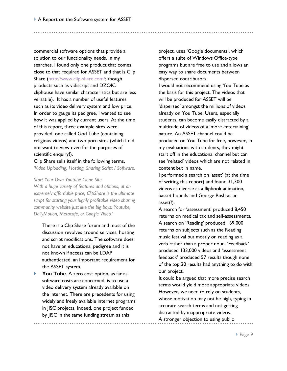commercial software options that provide a solution to our functionality needs. In my searches, I found only one product that comes close to that required for ASSET and that is Clip Share [\(http://www.clip-share.com/;](http://www.clip-share.com/) though products such as vidiscript and DZOIC cliphouse have similar characteristics but are less versatile). It has a number of useful features such as its video delivery system and low price. In order to gauge its pedigree, I wanted to see how it was applied by current users. At the time of this report, three example sites were provided; one called God Tube (containing religious videos) and two porn sites (which I did not want to view even for the purposes of scientific enquiry!).

Clip Share sells itself in the following terms, *'Video Uploading, Hosting, Sharing Script / Software.*

#### *Start Your Own Youtube Clone Site.*

*With a huge variety of features and options, at an extremely affordable price, ClipShare is the ultimate script for starting your highly profitable video sharing community website just like the big boys: Youtube, DailyMotion, Metacafe, or Google Video.'*

There is a Clip Share forum and most of the discussion revolves around services, hosting and script modifications. The software does not have an educational pedigree and it is not known if access can be LDAP authenticated, an important requirement for the ASSET system.

**★ You Tube.** A zero cost option, as far as software costs are concerned, is to use a video delivery system already available on the internet. There are precedents for using widely and freely available internet programs in JISC projects. Indeed, one project funded by JISC in the same funding stream as this

project, uses 'Google documents', which offers a suite of Windows Office-type programs but are free to use and allows an easy way to share documents between dispersed contributors.

I would not recommend using You Tube as the basis for this project. The videos that will be produced for ASSET will be 'dispersed' amongst the millions of videos already on You Tube. Users, especially students, can become easily distracted by a multitude of videos of a 'more entertaining' nature. An ASSET channel could be produced on You Tube for free, however, in my evaluations with students, they might start off in the educational channel but can see "related" videos which are not related in content but in name.

I performed a search on 'asset' (at the time of writing this report) and found 31,300 videos as diverse as a flipbook animation, basset hounds and George Bush as an asset(!).

A search for 'assessment' produced 8,450 returns on medical tax and self-assessments. A search on "Reading" produced 169,000 returns on subjects such as the Reading music festival but mostly on reading as a verb rather than a proper noun. "Feedback" produced 133,000 videos and "assessment feedback" produced 57 results though none of the top 20 results had anything to do with our project.

It could be argued that more precise search terms would yield more appropriate videos. However, we need to rely on students, whose motivation may not be high, typing in accurate search terms and not getting distracted by inappropriate videos.

A stronger objection to using public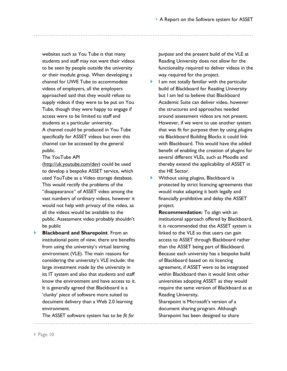websites such as You Tube is that many students and staff may not want their videos to be seen by people outside the university or their module group. When developing a channel for UWE Tube to accommodate videos of employers, all the employers approached said that they would refuse to supply videos if they were to be put on You Tube, though they were happy to engage if access were to be limited to staff and students at a particular university. A channel could be produced in You Tube specifically for ASSET videos but even this channel can be accessed by the general public.

The YouTube API

[\(http://uk.youtube.com/dev\)](http://uk.youtube.com/dev) could be used to develop a bespoke ASSET service, which used YouTube as a Video storage database. This would rectify the problems of the "disappearance" of ASSET video among the vast numbers of ordinary videos, however it would not help with privacy of the video, as all the videos would be available to the public. Assessment video probably shouldn"t be public

 **Blackboard and Sharepoint**. From an institutional point of view, there are benefits from using the university's virtual learning environment (VLE). The main reasons for considering the university"s VLE include: the large investment made by the university in its IT system and also that students and staff know the environment and have access to it. It is generally agreed that Blackboard is a "clunky" piece of software more suited to document delivery than a Web 2.0 learning environment.

The ASSET software system has to be *fit for* 

*purpose* and the present build of the VLE at Reading University does not allow for the functionality required to deliver videos in the way required for the project.

- $\blacktriangleright$  1 am not totally familiar with the particular build of Blackboard for Reading University but I am led to believe that Blackboard Academic Suite can deliver video, however the structures and approaches needed around assessment videos are not present. However, if we were to use another system that was fit for purpose then by using plugins via Blackboard Building Blocks it could link with Blackboard. This would have the added benefit of enabling the creation of plugins for several different VLEs, such as Moodle and thereby extend the applicability of ASSET in the HE Sector.
- Without using plugins, Blackboard is protected by strict licencing agreements that would make adapting it both legally and financially prohibitive and delay the ASSET project.

**Recommendation**: To align with an institutional approach offered by Blackboard, it is recommended that the ASSET system is linked to the VLE so that users can gain access to ASSET through Blackboard rather than the ASSET being part of Blackboard. Because each university has a bespoke build of Blackboard based on its licencing agreement, if ASSET were to be integrated within Blackboard then it would limit other universities adopting ASSET as they would require the same version of Blackboard as at Reading University.

Sharepoint is Microsoft's version of a document sharing program. Although Sharepoint has been designed to share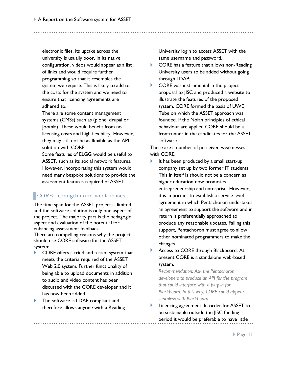electronic files, its uptake across the university is usually poor. In its native configuration, videos would appear as a list of links and would require further programming so that it resembles the system we require. This is likely to add to the costs for the system and we need to ensure that licencing agreements are adhered to.

There are some content management systems (CMSs) such as (plone, drupal or Joomla). These would benefit from no licensing costs and high flexibility. However, they may still not be as flexible as the API solution with CORE.

Some features of ELGG would be useful to ASSET, such as its social network features. However, incorporating this system would need many bespoke solutions to provide the assessment features required of ASSET.

#### CORE: strengths and weaknesses

The time span for the ASSET project is limited and the software solution is only one aspect of the project. The majority part is the pedagogic aspect and evaluation of the potential for enhancing assessment feedback. There are compelling reasons why the project

should use CORE software for the ASSET system:

- CORE offers a tried and tested system that meets the criteria required of the ASSET Web 2.0 system. Further functionality of being able to upload documents in addition to audio and video content has been discussed with the CORE developer and it has now been added.
- The software is LDAP compliant and therefore allows anyone with a Reading

University login to access ASSET with the same username and password.

- ▶ CORE has a feature that allows non-Reading University users to be added without going through LDAP.
- $\triangleright$  CORE was instrumental in the project proposal to JISC and produced a website to illustrate the features of the proposed system. CORE formed the basis of UWE Tube on which the ASSET approach was founded. If the Nolan principles of ethical behaviour are applied CORE should be a frontrunner in the candidates for the ASSET software.

There are a number of perceived weaknesses with CORE:

- It has been produced by a small start-up company set up by two former IT students. This in itself is should not be a concern as higher education now promotes entrepreneurship and enterprise. However, it is important to establish a service level agreement in which Pentachoron undertakes an agreement to support the software and in return is preferentially approached to produce any reasonable updates. Failing this support, Pentachoron must agree to allow other nominated programmers to make the changes.
- Access to CORE through Blackboard. At present CORE is a standalone web-based system.

*Recommendation: Ask the Pentachoron developers to produce an API for the program that could interface with a plug in for Blackboard. In this way, CORE could appear seamless with Blackboard.*

 Licencing agreement. In order for ASSET to be sustainable outside the JISC funding period it would be preferable to have little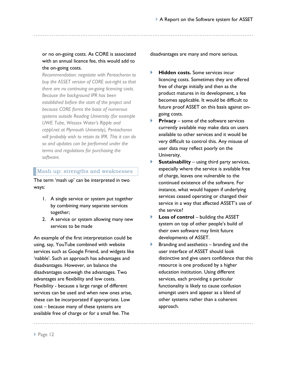#### or no on-going costs. As CORE is associated with an annual licence fee, this would add to the on-going costs.

*Recommendation: negotiate with Pentachoron to buy the ASSET version of CORE out-right so that there are no continuing on-going licencing costs. Because the background IPR has been established before the start of the project and because CORE forms the basis of numerous systems outside Reading University (for example UWE Tube, Wessex Water's Ripple and ceppl.net at Plymouth University), Pentachoron will probably wish to retain its IPR. This it can do so and updates can be performed under the terms and regulations for purchasing the software.*

#### Mash up: strengths and weaknesses

The term 'mash up' can be interpreted in two ways:

- 1. A single service or system put together by combining many separate services together;
- 2. A service or system allowing many new services to be made

An example of the first interpretation could be using, say, YouTube combined with website services such as Google Friend, and widgets like 'nabble'. Such an approach has advantages and disadvantages. However, on balance the disadvantages outweigh the advantages. Two advantages are flexibility and low costs. Flexibility - because a large range of different services can be used and when new ones arise, these can be incorporated if appropriate. Low cost – because many of these systems are available free of charge or for a small fee. The

disadvantages are many and more serious.

- **Hidden costs.** Some services incur licencing costs. Sometimes they are offered free of charge initially and then as the product matures in its development, a fee becomes applicable. It would be difficult to future proof ASSET on this basis against ongoing costs.
- **Privacy** some of the software services currently available may make data on users available to other services and it would be very difficult to control this. Any misuse of user data may reflect poorly on the University.
- **Sustainability** using third party services, especially where the service is available free of charge, leaves one vulnerable to the continued existence of the software. For instance, what would happen if underlying services ceased operating or changed their service in a way that affected ASSET's use of the service?
- **Loss of control** building the ASSET system on top of other people's build of their own software may limit future developments of ASSET.
- $\blacktriangleright$  Branding and aesthetics branding and the user interface of ASSET should look distinctive and give users confidence that this resource is one produced by a higher education institution. Using different services, each providing a particular functionality is likely to cause confusion amongst users and appear as a blend of other systems rather than a coherent approach.